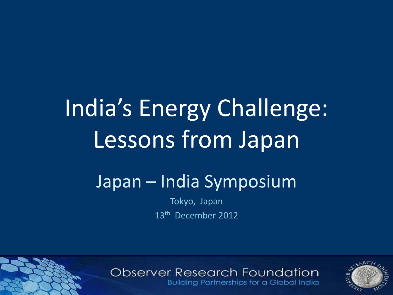# India's Energy Challenge: Lessons from Japan

## Japan – India Symposium

Tokyo, Japan 13<sup>th</sup> December 2012

### **Observer Research Foundation**

**Building Partnerships for a Global India** 

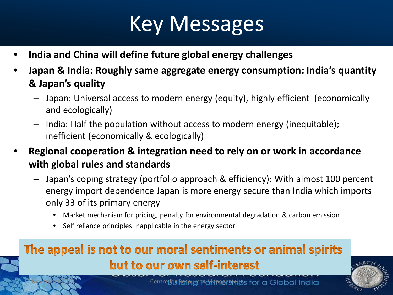## Key Messages

- **India and China will define future global energy challenges**
- **Japan & India: Roughly same aggregate energy consumption: India's quantity & Japan's quality** 
	- Japan: Universal access to modern energy (equity), highly efficient (economically and ecologically)
	- India: Half the population without access to modern energy (inequitable); inefficient (economically & ecologically)
- **Regional cooperation & integration need to rely on or work in accordance with global rules and standards** 
	- Japan's coping strategy (portfolio approach & efficiency): With almost 100 percent energy import dependence Japan is more energy secure than India which imports only 33 of its primary energy
		- Market mechanism for pricing, penalty for environmental degradation & carbon emission
		- Self reliance principles inapplicable in the energy sector

### The appeal is not to our moral sentiments or animal spirits but to our own self-interest



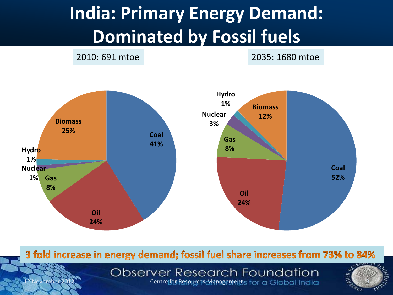## **India: Primary Energy Demand: Dominated by Fossil fuels**

2010: 691 mtoe 2035: 1680 mtoe



3 fold increase in energy demand; fossil fuel share increases from 73% to 84%

**Observer Research Foundation** ovember 2012 CODSEIVEI RESEQICI FOUNDOIION<br>Centre for Resources Managements for a Global India



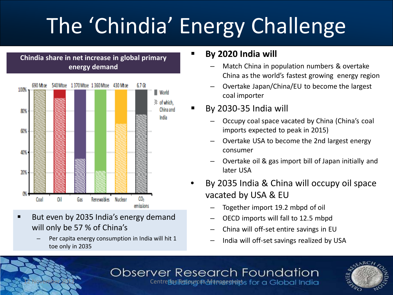# The 'Chindia' Energy Challenge





- But even by 2035 India's energy demand will only be 57 % of China's
	- Per capita energy consumption in India will hit 1 toe only in 2035

#### **By 2020 India will**

- Match China in population numbers & overtake China as the world's fastest growing energy region
- Overtake Japan/China/EU to become the largest coal importer
- By 2030-35 India will
	- Occupy coal space vacated by China (China's coal imports expected to peak in 2015)
	- Overtake USA to become the 2nd largest energy consumer
	- Overtake oil & gas import bill of Japan initially and later USA
- By 2035 India & China will occupy oil space vacated by USA & EU
	- Together import 19.2 mbpd of oil
	- OECD imports will fall to 12.5 mbpd
	- China will off-set entire savings in EU
	- India will off-set savings realized by USA

#### Observer Research Foundation Centre fou iletiour as Adamsentaints for a Global India

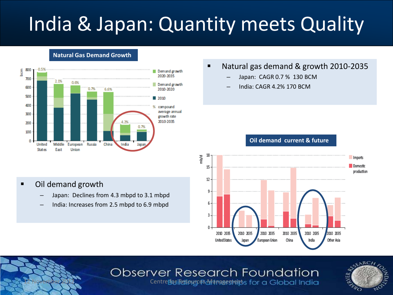## India & Japan: Quantity meets Quality

**Natural Gas Demand Growth** 



#### ■ Natural gas demand & growth 2010-2035

- Japan: CAGR 0.7 % 130 BCM
- India: CAGR 4.2% 170 BCM

#### **Oil demand current & future**



#### **Observer Research Foundation**



Centre foui Resipute <sup>a</sup> Managements for a Global India

#### ■ Oil demand growth

- Japan: Declines from 4.3 mbpd to 3.1 mbpd
- India: Increases from 2.5 mbpd to 6.9 mbpd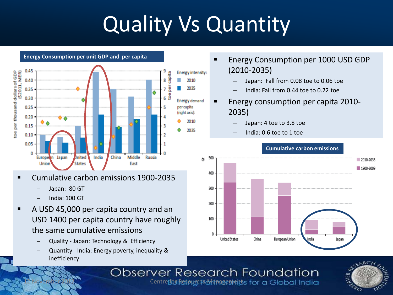# Quality Vs Quantity



- Cumulative carbon emissions 1900-2035
	- Japan: 80 GT
	- India: 100 GT
- A USD 45,000 per capita country and an USD 1400 per capita country have roughly the same cumulative emissions
	- Quality Japan: Technology & Efficiency
	- Quantity India: Energy poverty, inequality & inefficiency
- Energy Consumption per 1000 USD GDP (2010-2035)
	- Japan: Fall from 0.08 toe to 0.06 toe
	- India: Fall from 0.44 toe to 0.22 toe
- Energy consumption per capita 2010- 2035)
	- Japan: 4 toe to 3.8 toe
	- India: 0.6 toe to 1 toe



#### **Cumulative carbon emissions**

### **Observer Research Foundation**



Centre foui Resipute & Managements for a Global India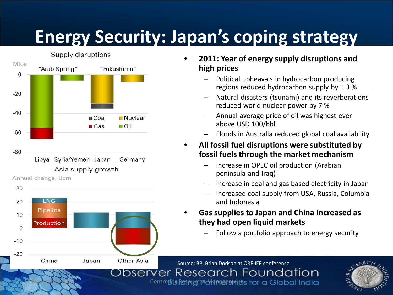## **Energy Security: Japan's coping strategy**



Annual change, Bcm



- **2011: Year of energy supply disruptions and high prices**
	- Political upheavals in hydrocarbon producing regions reduced hydrocarbon supply by 1.3 %
	- Natural disasters (tsunami) and its reverberations reduced world nuclear power by 7 %
	- Annual average price of oil was highest ever above USD 100/bbl
	- Floods in Australia reduced global coal availability
- **All fossil fuel disruptions were substituted by fossil fuels through the market mechanism** 
	- Increase in OPEC oil production (Arabian peninsula and Iraq)
	- Increase in coal and gas based electricity in Japan
	- Increased coal supply from USA, Russia, Columbia and Indonesia
- **Gas supplies to Japan and China increased as they had open liquid markets**
	- Follow a portfolio approach to energy security

Source: BP, Brian Dodson at ORF-IEF conferenceObserver Research Foundation **12 November 2012 CIT CONTROLLING INC.**<br><sup>2</sup> Centre **fivile display on Address of Additional Centre fivile display and Additional Centre for a G** 

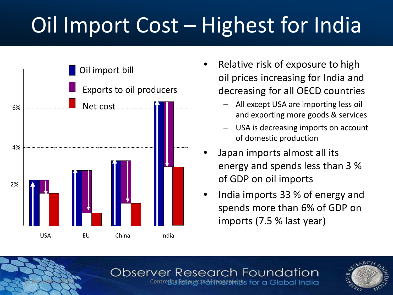# Oil Import Cost – Highest for India



- Relative risk of exposure to high oil prices increasing for India and decreasing for all OECD countries
	- All except USA are importing less oil and exporting more goods & services
	- USA is decreasing imports on account of domestic production
- Japan imports almost all its energy and spends less than 3 % of GDP on oil imports
- India imports 33 % of energy and spends more than 6% of GDP on imports (7.5 % last year)

#### **Observer Research Foundation** Centre fou iletiougo and a meeting of control of centre fourier

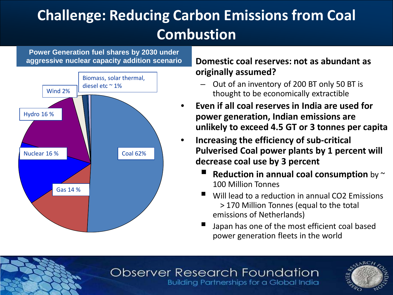### **Challenge: Reducing Carbon Emissions from Coal Combustion**

**Power Generation fuel shares by 2030 under aggressive nuclear capacity addition scenario**



#### • **Domestic coal reserves: not as abundant as originally assumed?**

- Out of an inventory of 200 BT only 50 BT is thought to be economically extractible
- **Even if all coal reserves in India are used for power generation, Indian emissions are unlikely to exceed 4.5 GT or 3 tonnes per capita**
- **Increasing the efficiency of sub-critical Pulverised Coal power plants by 1 percent will decrease coal use by 3 percent** 
	- **Reduction in annual coal consumption** by  $\sim$ 100 Million Tonnes
	- Will lead to a reduction in annual CO2 Emissions > 170 Million Tonnes (equal to the total emissions of Netherlands)
	- Japan has one of the most efficient coal based power generation fleets in the world

#### Observer Research Foundation **Building Partnerships for a Global India**

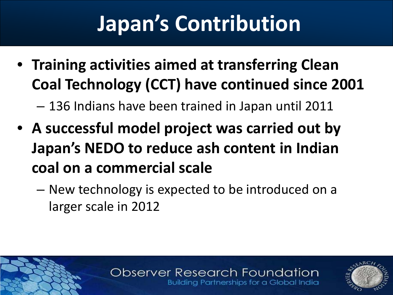# **Japan's Contribution**

• **Training activities aimed at transferring Clean Coal Technology (CCT) have continued since 2001**

– 136 Indians have been trained in Japan until 2011

- **A successful model project was carried out by Japan's NEDO to reduce ash content in Indian coal on a commercial scale**
	- New technology is expected to be introduced on a larger scale in 2012

#### **Observer Research Foundation Building Partnerships for a Global India**

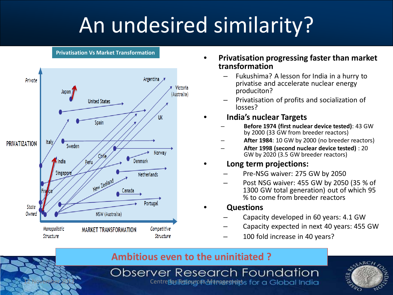# An undesired similarity?

#### **Privatisation Vs Market Transformation**



- **Privatisation progressing faster than market transformation**
	- Fukushima? A lesson for India in a hurry to privatise and accelerate nuclear energy produciton?
	- Privatisation of profits and socialization of losses?

#### • **India's nuclear Targets**

- **Before 1974 (first nuclear device tested)**: 43 GW by 2000 (33 GW from breeder reactors)
- **After 1984**: 10 GW by 2000 (no breeder reactors)
- **After 1998 (second nuclear device tested)** : 20 GW by 2020 (3.5 GW breeder reactors)

#### • **Long term projections:**

- Pre-NSG waiver: 275 GW by 2050
- Post NSG waiver: 455 GW by 2050 (35 % of 1300 GW total generation) out of which 95 % to come from breeder reactors

#### • **Questions**

- Capacity developed in 60 years: 4.1 GW
- Capacity expected in next 40 years: 455 GW
- 100 fold increase in 40 years?

#### **Ambitious even to the uninitiated ?**

**Observer Research Foundation 12 November 2012 Centre for Apple 12 October 2012 Centre for Reserve India**<br>Centre four Responses Management 11 October 111 October 2012 Centre four Responses Parties Centre 11

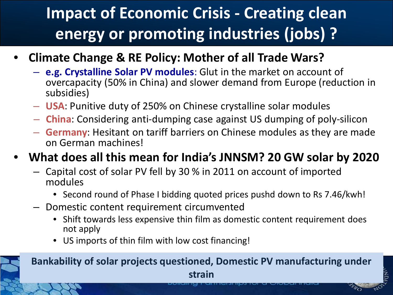## **Impact of Economic Crisis - Creating clean energy or promoting industries (jobs) ?**

- **Climate Change & RE Policy: Mother of all Trade Wars?**
	- **e.g. Crystalline Solar PV modules**: Glut in the market on account of overcapacity (50% in China) and slower demand from Europe (reduction in subsidies)
	- **USA**: Punitive duty of 250% on Chinese crystalline solar modules
	- **China**: Considering anti-dumping case against US dumping of poly-silicon
	- **Germany**: Hesitant on tariff barriers on Chinese modules as they are made on German machines!

### • **What does all this mean for India's JNNSM? 20 GW solar by 2020**

- Capital cost of solar PV fell by 30 % in 2011 on account of imported modules
	- Second round of Phase I bidding quoted prices pushd down to Rs 7.46/kwh!
- Domestic content requirement circumvented
	- Shift towards less expensive thin film as domestic content requirement does not apply
	- US imports of thin film with low cost financing!



#### **Bankability of solar projects questioned, Domestic PV manufacturing under**

**strain**